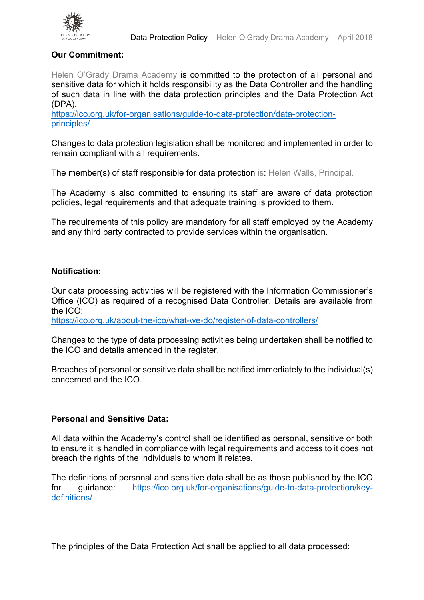

# **Our Commitment:**

Helen O'Grady Drama Academy is committed to the protection of all personal and sensitive data for which it holds responsibility as the Data Controller and the handling of such data in line with the data protection principles and the Data Protection Act (DPA).

https://ico.org.uk/for-organisations/guide-to-data-protection/data-protectionprinciples/

Changes to data protection legislation shall be monitored and implemented in order to remain compliant with all requirements.

The member(s) of staff responsible for data protection is: Helen Walls, Principal.

The Academy is also committed to ensuring its staff are aware of data protection policies, legal requirements and that adequate training is provided to them.

The requirements of this policy are mandatory for all staff employed by the Academy and any third party contracted to provide services within the organisation.

## **Notification:**

Our data processing activities will be registered with the Information Commissioner's Office (ICO) as required of a recognised Data Controller. Details are available from the ICO:

https://ico.org.uk/about-the-ico/what-we-do/register-of-data-controllers/

Changes to the type of data processing activities being undertaken shall be notified to the ICO and details amended in the register.

Breaches of personal or sensitive data shall be notified immediately to the individual(s) concerned and the ICO.

## **Personal and Sensitive Data:**

All data within the Academy's control shall be identified as personal, sensitive or both to ensure it is handled in compliance with legal requirements and access to it does not breach the rights of the individuals to whom it relates.

The definitions of personal and sensitive data shall be as those published by the ICO for quidance: https://ico.org.uk/for-organisations/guide-to-data-protection/keydefinitions/

The principles of the Data Protection Act shall be applied to all data processed: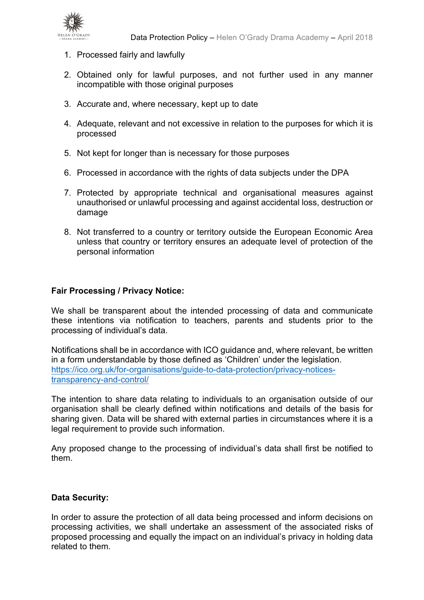

- 1. Processed fairly and lawfully
- 2. Obtained only for lawful purposes, and not further used in any manner incompatible with those original purposes
- 3. Accurate and, where necessary, kept up to date
- 4. Adequate, relevant and not excessive in relation to the purposes for which it is processed
- 5. Not kept for longer than is necessary for those purposes
- 6. Processed in accordance with the rights of data subjects under the DPA
- 7. Protected by appropriate technical and organisational measures against unauthorised or unlawful processing and against accidental loss, destruction or damage
- 8. Not transferred to a country or territory outside the European Economic Area unless that country or territory ensures an adequate level of protection of the personal information

#### **Fair Processing / Privacy Notice:**

We shall be transparent about the intended processing of data and communicate these intentions via notification to teachers, parents and students prior to the processing of individual's data.

Notifications shall be in accordance with ICO guidance and, where relevant, be written in a form understandable by those defined as 'Children' under the legislation. https://ico.org.uk/for-organisations/guide-to-data-protection/privacy-noticestransparency-and-control/

The intention to share data relating to individuals to an organisation outside of our organisation shall be clearly defined within notifications and details of the basis for sharing given. Data will be shared with external parties in circumstances where it is a legal requirement to provide such information.

Any proposed change to the processing of individual's data shall first be notified to them.

#### **Data Security:**

In order to assure the protection of all data being processed and inform decisions on processing activities, we shall undertake an assessment of the associated risks of proposed processing and equally the impact on an individual's privacy in holding data related to them.